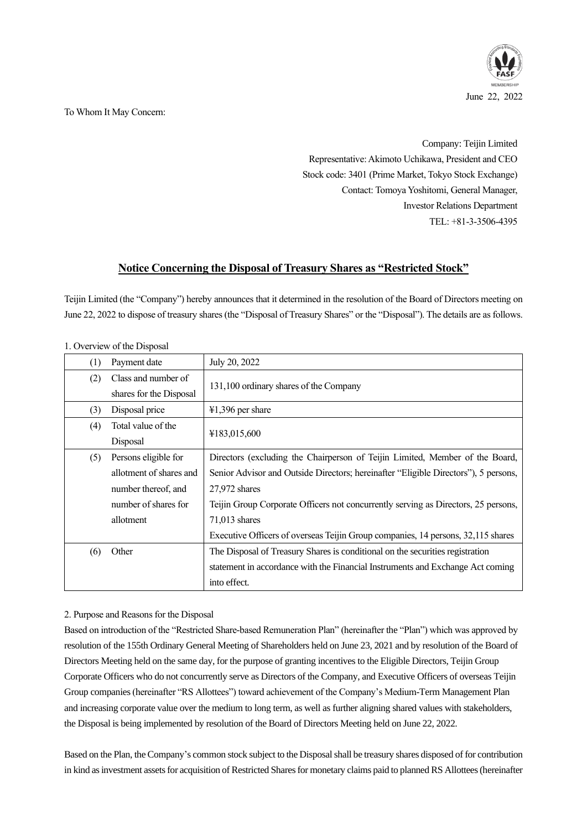

To Whom It May Concern:

Company: Teijin Limited Representative: Akimoto Uchikawa, President and CEO Stock code: 3401 (Prime Market, Tokyo Stock Exchange) Contact: Tomoya Yoshitomi, General Manager, Investor Relations Department TEL: +81-3-3506-4395

# **Notice Concerning the Disposal of Treasury Shares as "Restricted Stock"**

Teijin Limited (the "Company") hereby announces that it determined in the resolution of the Board of Directors meeting on June 22, 2022 to dispose of treasury shares (the "Disposal of Treasury Shares" or the "Disposal"). The details are as follows.

| $5.1111$ $5.1211$ $5.1211$ $5.1211$ |                         |                                                                                     |
|-------------------------------------|-------------------------|-------------------------------------------------------------------------------------|
| (1)                                 | Payment date            | July 20, 2022                                                                       |
| (2)                                 | Class and number of     | 131,100 ordinary shares of the Company                                              |
|                                     | shares for the Disposal |                                                                                     |
| (3)                                 | Disposal price          | $41,396$ per share                                                                  |
| (4)                                 | Total value of the      | ¥183,015,600                                                                        |
|                                     | Disposal                |                                                                                     |
| (5)                                 | Persons eligible for    | Directors (excluding the Chairperson of Teijin Limited, Member of the Board,        |
|                                     | allotment of shares and | Senior Advisor and Outside Directors; hereinafter "Eligible Directors"), 5 persons, |
|                                     | number thereof, and     | 27,972 shares                                                                       |
|                                     | number of shares for    | Teijin Group Corporate Officers not concurrently serving as Directors, 25 persons,  |
|                                     | allotment               | $71,013$ shares                                                                     |
|                                     |                         | Executive Officers of overseas Teijin Group companies, 14 persons, 32,115 shares    |
| (6)                                 | Other                   | The Disposal of Treasury Shares is conditional on the securities registration       |
|                                     |                         | statement in accordance with the Financial Instruments and Exchange Act coming      |
|                                     |                         | into effect.                                                                        |

1. Overview of the Disposal

# 2. Purpose and Reasons for the Disposal

Based on introduction of the "Restricted Share-based Remuneration Plan" (hereinafter the "Plan") which was approved by resolution of the 155th Ordinary General Meeting of Shareholders held on June 23, 2021 and by resolution of the Board of Directors Meeting held on the same day, for the purpose of granting incentives to the Eligible Directors, Teijin Group Corporate Officers who do not concurrently serve as Directors of the Company, and Executive Officers of overseas Teijin Group companies (hereinafter "RS Allottees") toward achievement of the Company's Medium-Term Management Plan and increasing corporate value over the medium to long term, as well as further aligning shared values with stakeholders, the Disposal is being implemented by resolution of the Board of Directors Meeting held on June 22, 2022.

Based on the Plan, the Company's common stock subject to the Disposal shall be treasury shares disposed of for contribution in kind as investment assets for acquisition of Restricted Shares for monetary claims paid to planned RS Allottees (hereinafter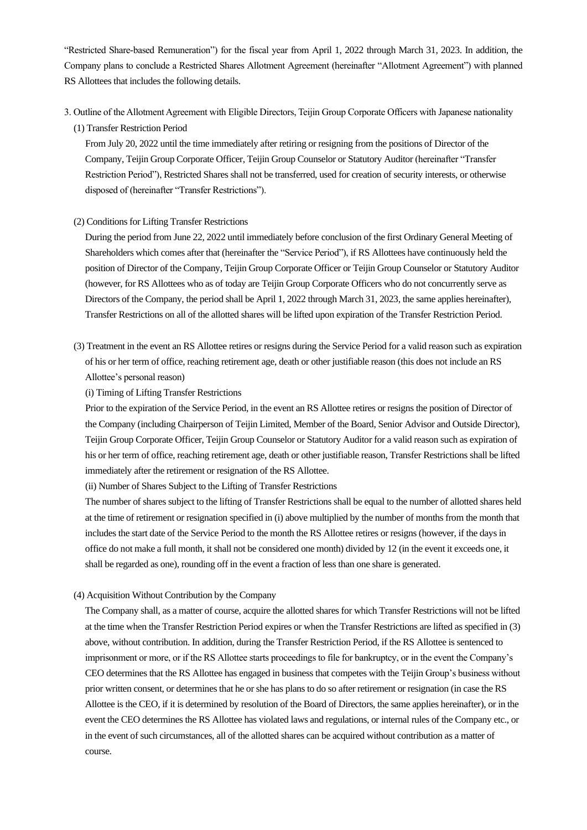"Restricted Share-based Remuneration") for the fiscal year from April 1, 2022 through March 31, 2023. In addition, the Company plans to conclude a Restricted Shares Allotment Agreement (hereinafter "Allotment Agreement") with planned RS Allottees that includes the following details.

- 3. Outline of the Allotment Agreement with Eligible Directors, Teijin Group Corporate Officers with Japanese nationality
	- (1) Transfer Restriction Period

From July 20, 2022 until the time immediately after retiring or resigning from the positions of Director of the Company, Teijin Group Corporate Officer, Teijin Group Counselor or Statutory Auditor (hereinafter "Transfer Restriction Period"), Restricted Shares shall not be transferred, used for creation of security interests, or otherwise disposed of (hereinafter "Transfer Restrictions").

(2) Conditions for Lifting Transfer Restrictions

During the period from June 22, 2022 until immediately before conclusion of the first Ordinary General Meeting of Shareholders which comes after that (hereinafter the "Service Period"), if RS Allottees have continuously held the position of Director of the Company, Teijin Group Corporate Officer or Teijin Group Counselor or Statutory Auditor (however, for RS Allottees who as of today are Teijin Group Corporate Officers who do not concurrently serve as Directors of the Company, the period shall be April 1, 2022 through March 31, 2023, the same applies hereinafter), Transfer Restrictions on all of the allotted shares will be lifted upon expiration of the Transfer Restriction Period.

(3) Treatment in the event an RS Allottee retires or resigns during the Service Period for a valid reason such as expiration of his or her term of office, reaching retirement age, death or other justifiable reason (this does not include an RS Allottee's personal reason)

(i) Timing of Lifting Transfer Restrictions

Prior to the expiration of the Service Period, in the event an RS Allottee retires or resigns the position of Director of the Company (including Chairperson of Teijin Limited, Member of the Board, Senior Advisor and Outside Director), Teijin Group Corporate Officer, Teijin Group Counselor or Statutory Auditor for a valid reason such as expiration of his or her term of office, reaching retirement age, death or other justifiable reason, Transfer Restrictions shall be lifted immediately after the retirement or resignation of the RS Allottee.

(ii) Number of Shares Subject to the Lifting of Transfer Restrictions

The number of shares subject to the lifting of Transfer Restrictions shall be equal to the number of allotted shares held at the time of retirement or resignation specified in (i) above multiplied by the number of months from the month that includes the start date of the Service Period to the month the RS Allottee retires or resigns (however, if the days in office do not make a full month, it shall not be considered one month) divided by 12 (in the event it exceeds one, it shall be regarded as one), rounding off in the event a fraction of less than one share is generated.

(4) Acquisition Without Contribution by the Company

The Company shall, as a matter of course, acquire the allotted shares for which Transfer Restrictions will not be lifted at the time when the Transfer Restriction Period expires or when the Transfer Restrictions are lifted as specified in (3) above, without contribution. In addition, during the Transfer Restriction Period, if the RS Allottee is sentenced to imprisonment or more, or if the RS Allottee starts proceedings to file for bankruptcy, or in the event the Company's CEO determines that the RS Allottee has engaged in business that competes with the Teijin Group's business without prior written consent, or determines that he or she has plans to do so after retirement or resignation (in case the RS Allottee is the CEO, if it is determined by resolution of the Board of Directors, the same applies hereinafter), or in the event the CEO determines the RS Allottee has violated laws and regulations, or internal rules of the Company etc., or in the event of such circumstances, all of the allotted shares can be acquired without contribution as a matter of course.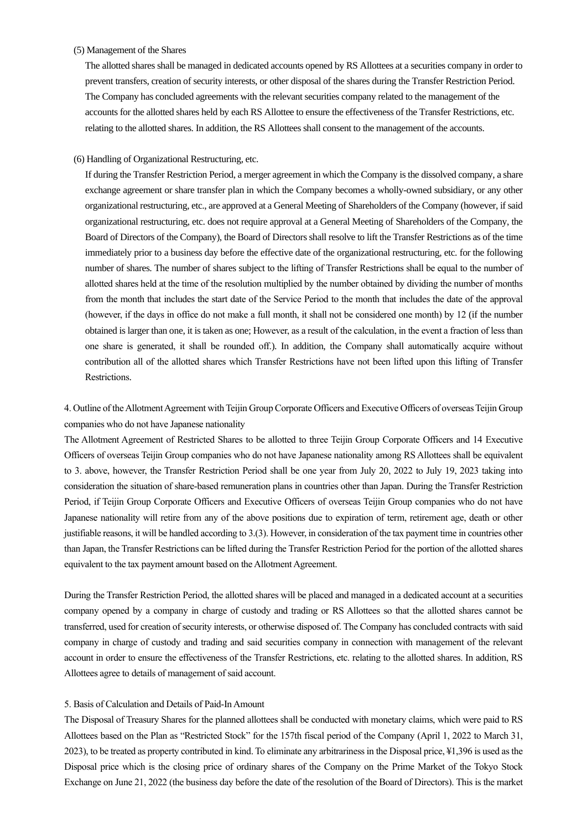#### (5) Management of the Shares

The allotted shares shall be managed in dedicated accounts opened by RS Allottees at a securities company in order to prevent transfers, creation of security interests, or other disposal of the shares during the Transfer Restriction Period. The Company has concluded agreements with the relevant securities company related to the management of the accounts for the allotted shares held by each RS Allottee to ensure the effectiveness of the Transfer Restrictions, etc. relating to the allotted shares. In addition, the RS Allottees shall consent to the management of the accounts.

## (6) Handling of Organizational Restructuring, etc.

If during the Transfer Restriction Period, a merger agreement in which the Company is the dissolved company, a share exchange agreement or share transfer plan in which the Company becomes a wholly-owned subsidiary, or any other organizational restructuring, etc., are approved at a General Meeting of Shareholders of the Company (however, if said organizational restructuring, etc. does not require approval at a General Meeting of Shareholders of the Company, the Board of Directors of the Company), the Board of Directors shall resolve to lift the Transfer Restrictions as of the time immediately prior to a business day before the effective date of the organizational restructuring, etc. for the following number of shares. The number of shares subject to the lifting of Transfer Restrictions shall be equal to the number of allotted shares held at the time of the resolution multiplied by the number obtained by dividing the number of months from the month that includes the start date of the Service Period to the month that includes the date of the approval (however, if the days in office do not make a full month, it shall not be considered one month) by 12 (if the number obtained is larger than one, it is taken as one; However, as a result of the calculation, in the event a fraction of less than one share is generated, it shall be rounded off.). In addition, the Company shall automatically acquire without contribution all of the allotted shares which Transfer Restrictions have not been lifted upon this lifting of Transfer Restrictions.

4. Outline of the Allotment Agreement with Teijin Group Corporate Officers and Executive Officers of overseas Teijin Group companies who do not have Japanese nationality

The Allotment Agreement of Restricted Shares to be allotted to three Teijin Group Corporate Officers and 14 Executive Officers of overseas Teijin Group companies who do not have Japanese nationality among RS Allottees shall be equivalent to 3. above, however, the Transfer Restriction Period shall be one year from July 20, 2022 to July 19, 2023 taking into consideration the situation of share-based remuneration plans in countries other than Japan. During the Transfer Restriction Period, if Teijin Group Corporate Officers and Executive Officers of overseas Teijin Group companies who do not have Japanese nationality will retire from any of the above positions due to expiration of term, retirement age, death or other justifiable reasons, it will be handled according to 3.(3). However, in consideration of the tax payment time in countries other than Japan, the Transfer Restrictions can be lifted during the Transfer Restriction Period for the portion of the allotted shares equivalent to the tax payment amount based on the Allotment Agreement.

During the Transfer Restriction Period, the allotted shares will be placed and managed in a dedicated account at a securities company opened by a company in charge of custody and trading or RS Allottees so that the allotted shares cannot be transferred, used for creation of security interests, or otherwise disposed of. The Company has concluded contracts with said company in charge of custody and trading and said securities company in connection with management of the relevant account in order to ensure the effectiveness of the Transfer Restrictions, etc. relating to the allotted shares. In addition, RS Allottees agree to details of management of said account.

### 5. Basis of Calculation and Details of Paid-In Amount

The Disposal of Treasury Shares for the planned allottees shall be conducted with monetary claims, which were paid to RS Allottees based on the Plan as "Restricted Stock" for the 157th fiscal period of the Company (April 1, 2022 to March 31, 2023), to be treated as property contributed in kind. To eliminate any arbitrariness in the Disposal price, ¥1,396 is used as the Disposal price which is the closing price of ordinary shares of the Company on the Prime Market of the Tokyo Stock Exchange on June 21, 2022 (the business day before the date of the resolution of the Board of Directors). This is the market